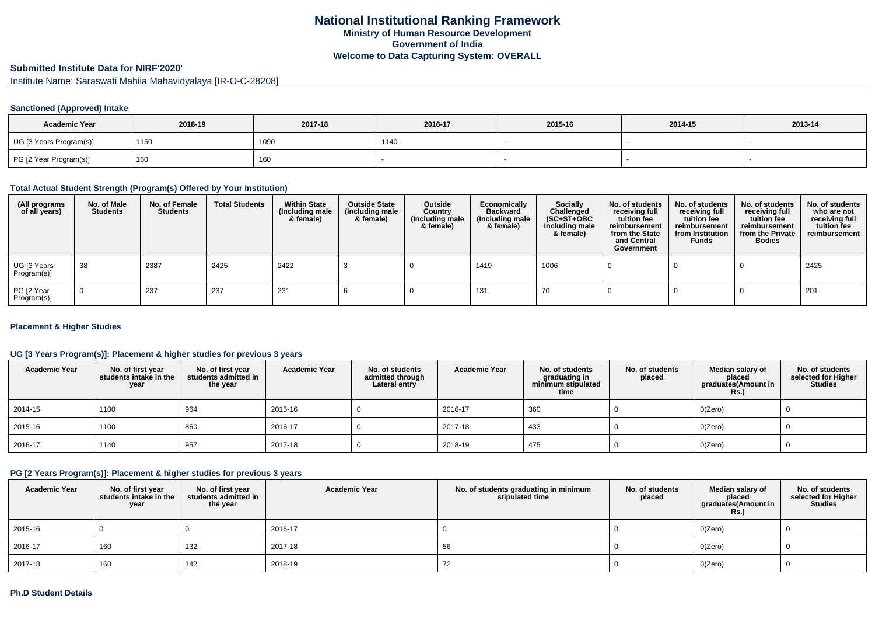#### **Submitted Institute Data for NIRF'2020'**

Institute Name: Saraswati Mahila Mahavidyalaya [IR-O-C-28208]

#### **Sanctioned (Approved) Intake**

| <b>Academic Year</b>    | 2018-19 | 2017-18 | 2016-17 | 2015-16 | 2014-15 | 2013-14 |
|-------------------------|---------|---------|---------|---------|---------|---------|
| UG [3 Years Program(s)] | 1150    | 1090    | 1140    |         |         |         |
| PG [2 Year Program(s)]  | 160     | 160     |         |         |         |         |

#### **Total Actual Student Strength (Program(s) Offered by Your Institution)**

| (All programs<br>of all years) | No. of Male<br><b>Students</b> | No. of Female<br><b>Students</b> | <b>Total Students</b> | <b>Within State</b><br>(Including male<br>& female) | <b>Outside State</b><br>(Including male<br>& female) | Outside<br>Country<br>(Including male<br>& female) | Economically<br><b>Backward</b><br>(Including male<br>& female) | <b>Socially</b><br>Challenged<br>$(SC+ST+OBC)$<br>Including male<br>& female) | No. of students<br>receiving full<br>tuition fee<br>reimbursement<br>from the State<br>and Central<br>Government | No. of students<br>receiving full<br>tuition fee<br>reimbursement<br>from Institution<br><b>Funds</b> | No. of students<br>receiving full<br>tuition fee<br>reimbursement<br>from the Private<br><b>Bodies</b> | No. of students<br>who are not<br>receiving full<br>tuition fee<br>reimbursement |
|--------------------------------|--------------------------------|----------------------------------|-----------------------|-----------------------------------------------------|------------------------------------------------------|----------------------------------------------------|-----------------------------------------------------------------|-------------------------------------------------------------------------------|------------------------------------------------------------------------------------------------------------------|-------------------------------------------------------------------------------------------------------|--------------------------------------------------------------------------------------------------------|----------------------------------------------------------------------------------|
| UG [3 Years<br>Program(s)]     | 38                             | 2387                             | 2425                  | 2422                                                |                                                      |                                                    | 1419                                                            | 1006                                                                          |                                                                                                                  |                                                                                                       |                                                                                                        | 2425                                                                             |
| PG [2 Year<br>Program(s)]      |                                | 237                              | 237                   | 231                                                 |                                                      |                                                    | 131                                                             | 70                                                                            |                                                                                                                  |                                                                                                       |                                                                                                        | 201                                                                              |

#### **Placement & Higher Studies**

#### **UG [3 Years Program(s)]: Placement & higher studies for previous 3 years**

| <b>Academic Year</b> | No. of first year<br>students intake in the<br>year | No. of first year<br>students admitted in<br>the year | <b>Academic Year</b> | No. of students<br>admitted through<br>Lateral entry | <b>Academic Year</b> | No. of students<br>graduating in<br>minimum stipulated<br>time | No. of students<br>placed | Median salary of<br>placed<br>graduates(Amount in<br><b>Rs.)</b> | No. of students<br>selected for Higher<br><b>Studies</b> |
|----------------------|-----------------------------------------------------|-------------------------------------------------------|----------------------|------------------------------------------------------|----------------------|----------------------------------------------------------------|---------------------------|------------------------------------------------------------------|----------------------------------------------------------|
| 2014-15              | 1100                                                | 964                                                   | 2015-16              |                                                      | 2016-17              | 360                                                            |                           | O(Zero)                                                          |                                                          |
| 2015-16              | 1100                                                | 860                                                   | 2016-17              |                                                      | 2017-18              | 433                                                            |                           | O(Zero)                                                          |                                                          |
| $ 2016-17$           | 1140                                                | 957                                                   | 2017-18              |                                                      | 2018-19              | 475                                                            |                           | O(Zero)                                                          |                                                          |

#### **PG [2 Years Program(s)]: Placement & higher studies for previous 3 years**

| <b>Academic Year</b> | No. of first year<br>students intake in the<br>year | No. of first year<br>students admitted in<br>the year | <b>Academic Year</b> | No. of students graduating in minimum<br>stipulated time | No. of students<br>placed | Median salary of<br>placed<br>graduates(Amount in<br><b>Rs.)</b> | No. of students<br>selected for Higher<br><b>Studies</b> |
|----------------------|-----------------------------------------------------|-------------------------------------------------------|----------------------|----------------------------------------------------------|---------------------------|------------------------------------------------------------------|----------------------------------------------------------|
| 2015-16              |                                                     |                                                       | 2016-17              |                                                          |                           | O(Zero)                                                          |                                                          |
| 2016-17              | 160                                                 | 132                                                   | 2017-18              | 56                                                       |                           | O(Zero)                                                          |                                                          |
| 2017-18              | 160                                                 | 142                                                   | 2018-19              | 72                                                       |                           | O(Zero)                                                          |                                                          |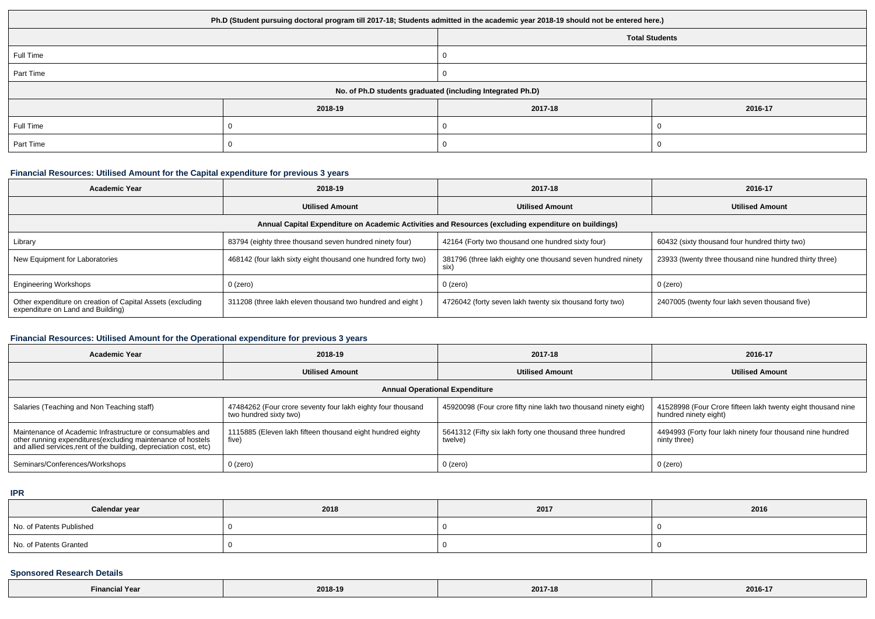| Ph.D (Student pursuing doctoral program till 2017-18; Students admitted in the academic year 2018-19 should not be entered here.) |         |         |         |  |  |  |
|-----------------------------------------------------------------------------------------------------------------------------------|---------|---------|---------|--|--|--|
| <b>Total Students</b>                                                                                                             |         |         |         |  |  |  |
| Full Time                                                                                                                         |         |         |         |  |  |  |
| Part Time                                                                                                                         |         |         |         |  |  |  |
| No. of Ph.D students graduated (including Integrated Ph.D)                                                                        |         |         |         |  |  |  |
|                                                                                                                                   | 2018-19 | 2017-18 | 2016-17 |  |  |  |
| Full Time                                                                                                                         |         |         |         |  |  |  |
| Part Time                                                                                                                         |         |         |         |  |  |  |

## **Financial Resources: Utilised Amount for the Capital expenditure for previous 3 years**

| <b>Academic Year</b>                                                                                 | 2018-19                                                       | 2017-18                                                             | 2016-17                                                 |  |  |  |  |  |
|------------------------------------------------------------------------------------------------------|---------------------------------------------------------------|---------------------------------------------------------------------|---------------------------------------------------------|--|--|--|--|--|
|                                                                                                      | <b>Utilised Amount</b>                                        | <b>Utilised Amount</b>                                              | <b>Utilised Amount</b>                                  |  |  |  |  |  |
| Annual Capital Expenditure on Academic Activities and Resources (excluding expenditure on buildings) |                                                               |                                                                     |                                                         |  |  |  |  |  |
| Library                                                                                              | 83794 (eighty three thousand seven hundred ninety four)       | 42164 (Forty two thousand one hundred sixty four)                   | 60432 (sixty thousand four hundred thirty two)          |  |  |  |  |  |
| New Equipment for Laboratories                                                                       | 468142 (four lakh sixty eight thousand one hundred forty two) | 381796 (three lakh eighty one thousand seven hundred ninety<br>six) | 23933 (twenty three thousand nine hundred thirty three) |  |  |  |  |  |
| <b>Engineering Workshops</b>                                                                         | $0$ (zero)                                                    | 0 (zero)                                                            | 0 (zero)                                                |  |  |  |  |  |
| Other expenditure on creation of Capital Assets (excluding<br>expenditure on Land and Building)      | 311208 (three lakh eleven thousand two hundred and eight)     | 4726042 (forty seven lakh twenty six thousand forty two)            | 2407005 (twenty four lakh seven thousand five)          |  |  |  |  |  |

# **Financial Resources: Utilised Amount for the Operational expenditure for previous 3 years**

| <b>Academic Year</b>                                                                                                                                                                            | 2018-19                                                                               | 2017-18                                                             | 2016-17                                                                               |  |  |  |  |
|-------------------------------------------------------------------------------------------------------------------------------------------------------------------------------------------------|---------------------------------------------------------------------------------------|---------------------------------------------------------------------|---------------------------------------------------------------------------------------|--|--|--|--|
|                                                                                                                                                                                                 | <b>Utilised Amount</b>                                                                | <b>Utilised Amount</b>                                              | <b>Utilised Amount</b>                                                                |  |  |  |  |
| <b>Annual Operational Expenditure</b>                                                                                                                                                           |                                                                                       |                                                                     |                                                                                       |  |  |  |  |
| Salaries (Teaching and Non Teaching staff)                                                                                                                                                      | 47484262 (Four crore seventy four lakh eighty four thousand<br>two hundred sixty two) | 45920098 (Four crore fifty nine lakh two thousand ninety eight)     | 41528998 (Four Crore fifteen lakh twenty eight thousand nine<br>hundred ninety eight) |  |  |  |  |
| Maintenance of Academic Infrastructure or consumables and<br>other running expenditures (excluding maintenance of hostels<br>and allied services, rent of the building, depreciation cost, etc) | 1115885 (Eleven lakh fifteen thousand eight hundred eighty<br>five)                   | 5641312 (Fifty six lakh forty one thousand three hundred<br>twelve) | 4494993 (Forty four lakh ninety four thousand nine hundred<br>ninty three)            |  |  |  |  |
| Seminars/Conferences/Workshops                                                                                                                                                                  | 0 (zero)                                                                              | $0$ (zero)                                                          | 0 (zero)                                                                              |  |  |  |  |

**IPR**

| Calendar year            | 2018 | 2017 | 2016 |
|--------------------------|------|------|------|
| No. of Patents Published |      |      |      |
| No. of Patents Granted   |      |      |      |

### **Sponsored Research Details**

| $\cdots$<br>Financ.<br>- 1 50 | 2018-19 | 2017-18 | 2016-17 |
|-------------------------------|---------|---------|---------|
|-------------------------------|---------|---------|---------|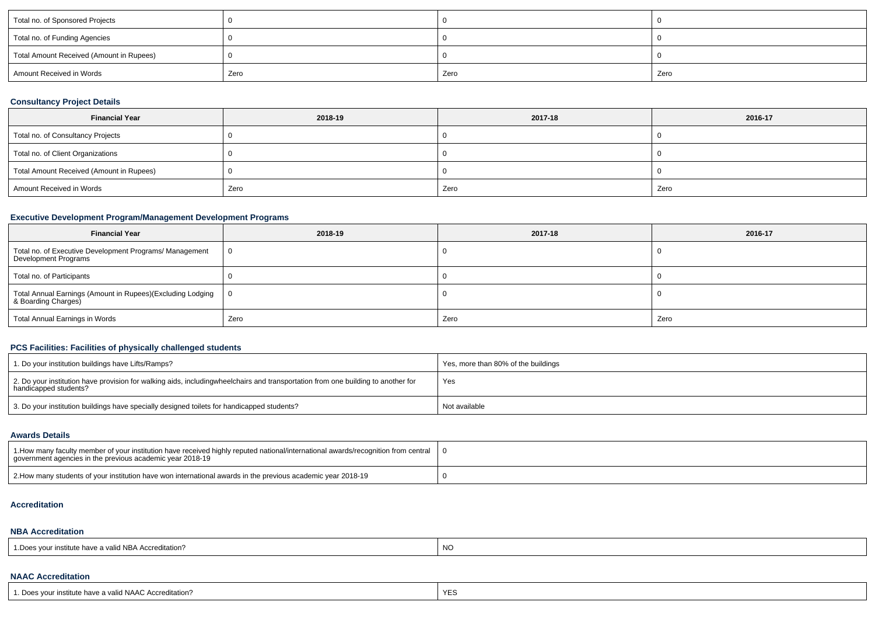| Total no. of Sponsored Projects          |      |      |      |
|------------------------------------------|------|------|------|
| Total no. of Funding Agencies            |      |      |      |
| Total Amount Received (Amount in Rupees) |      |      |      |
| Amount Received in Words                 | Zero | Zero | Zero |

## **Consultancy Project Details**

| <b>Financial Year</b>                    | 2018-19 | 2017-18 | 2016-17 |
|------------------------------------------|---------|---------|---------|
| Total no. of Consultancy Projects        |         |         |         |
| Total no. of Client Organizations        |         |         |         |
| Total Amount Received (Amount in Rupees) |         |         |         |
| Amount Received in Words                 | Zero    | Zero    | Zero    |

## **Executive Development Program/Management Development Programs**

| <b>Financial Year</b>                                                             | 2018-19  | 2017-18 | 2016-17 |
|-----------------------------------------------------------------------------------|----------|---------|---------|
| Total no. of Executive Development Programs/ Management<br>Development Programs   | $\Omega$ |         |         |
| Total no. of Participants                                                         |          |         |         |
| Total Annual Earnings (Amount in Rupees)(Excluding Lodging<br>& Boarding Charges) | ΙO       |         |         |
| Total Annual Earnings in Words                                                    | Zero     | Zero    | Zero    |

## **PCS Facilities: Facilities of physically challenged students**

| 1. Do your institution buildings have Lifts/Ramps?                                                                                                        | Yes, more than 80% of the buildings |
|-----------------------------------------------------------------------------------------------------------------------------------------------------------|-------------------------------------|
| 2. Do your institution have provision for walking aids, includingwheelchairs and transportation from one building to another for<br>handicapped students? | Yes                                 |
| 3. Do your institution buildings have specially designed toilets for handicapped students?                                                                | Not available                       |

#### **Awards Details**

| 1. How many faculty member of your institution have received highly reputed national/international awards/recognition from central<br>government agencies in the previous academic year 2018-19 |  |
|-------------------------------------------------------------------------------------------------------------------------------------------------------------------------------------------------|--|
| 2. How many students of your institution have won international awards in the previous academic year 2018-19                                                                                    |  |

#### **Accreditation**

#### **NBA Accreditation**

| $\overline{M}$<br>d NBA Accreditation?<br><sup>1</sup> Does vou<br>s vour institute have a valio<br>IVV |  |
|---------------------------------------------------------------------------------------------------------|--|
|---------------------------------------------------------------------------------------------------------|--|

### **NAAC Accreditation**

| 1. Does your institute have a valid NAAC Accreditation? | $\cdot$ $\cdot$<br>YE. |
|---------------------------------------------------------|------------------------|
|---------------------------------------------------------|------------------------|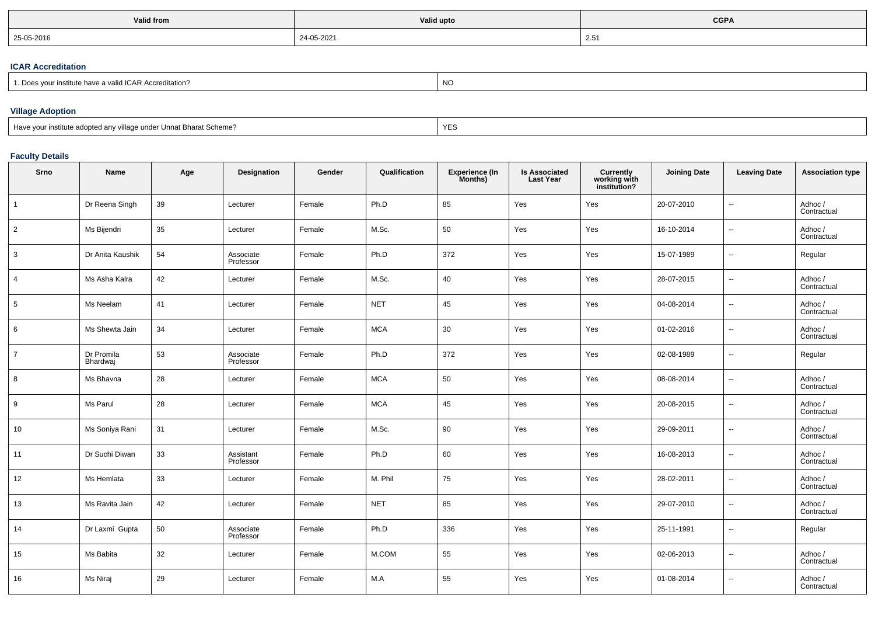| <b>Valid from</b> | Valid upto | <b>CGPA</b> |
|-------------------|------------|-------------|
| 25-05-2016        | 24-05-2021 | 2.51        |

### **ICAR Accreditation**

| <b>JIA</b><br>institute have a valid ICAR Accreditation?<br>Doe | יע |
|-----------------------------------------------------------------|----|
|-----------------------------------------------------------------|----|

## **Village Adoption**

| Have your institute adopted any village under Unnat Bharat Scheme? | <b>YES</b> |
|--------------------------------------------------------------------|------------|
|--------------------------------------------------------------------|------------|

## **Faculty Details**

| Srno           | Name                   | Age | Designation            | Gender | Qualification | <b>Experience (In</b><br>Months) | <b>Is Associated</b><br><b>Last Year</b> | Currently<br>working with<br>institution? | <b>Joining Date</b> | <b>Leaving Date</b>      | <b>Association type</b> |
|----------------|------------------------|-----|------------------------|--------|---------------|----------------------------------|------------------------------------------|-------------------------------------------|---------------------|--------------------------|-------------------------|
| $\overline{1}$ | Dr Reena Singh         | 39  | Lecturer               | Female | Ph.D          | 85                               | Yes                                      | Yes                                       | 20-07-2010          | --                       | Adhoc/<br>Contractual   |
| $\overline{2}$ | Ms Bijendri            | 35  | Lecturer               | Female | M.Sc.         | 50                               | Yes                                      | Yes                                       | 16-10-2014          | ÷.                       | Adhoc /<br>Contractual  |
| 3              | Dr Anita Kaushik       | 54  | Associate<br>Professor | Female | Ph.D          | 372                              | Yes                                      | Yes                                       | 15-07-1989          | ÷.                       | Regular                 |
| $\overline{4}$ | Ms Asha Kalra          | 42  | Lecturer               | Female | M.Sc.         | 40                               | Yes                                      | Yes                                       | 28-07-2015          | Ξ.                       | Adhoc/<br>Contractual   |
| $\,$ 5 $\,$    | Ms Neelam              | 41  | Lecturer               | Female | <b>NET</b>    | 45                               | Yes                                      | Yes                                       | 04-08-2014          | $\overline{\phantom{a}}$ | Adhoc/<br>Contractual   |
| 6              | Ms Shewta Jain         | 34  | Lecturer               | Female | <b>MCA</b>    | 30                               | Yes                                      | Yes                                       | 01-02-2016          | Ξ.                       | Adhoc/<br>Contractual   |
| $\overline{7}$ | Dr Promila<br>Bhardwaj | 53  | Associate<br>Professor | Female | Ph.D          | 372                              | Yes                                      | Yes                                       | 02-08-1989          | Ξ.                       | Regular                 |
| 8              | Ms Bhavna              | 28  | Lecturer               | Female | <b>MCA</b>    | 50                               | Yes                                      | Yes                                       | 08-08-2014          | ÷.                       | Adhoc /<br>Contractual  |
| 9              | Ms Parul               | 28  | Lecturer               | Female | <b>MCA</b>    | 45                               | Yes                                      | Yes                                       | 20-08-2015          | --                       | Adhoc /<br>Contractual  |
| 10             | Ms Soniya Rani         | 31  | Lecturer               | Female | M.Sc.         | 90                               | Yes                                      | Yes                                       | 29-09-2011          | --                       | Adhoc/<br>Contractual   |
| 11             | Dr Suchi Diwan         | 33  | Assistant<br>Professor | Female | Ph.D          | 60                               | Yes                                      | Yes                                       | 16-08-2013          | $\overline{\phantom{a}}$ | Adhoc/<br>Contractual   |
| 12             | Ms Hemlata             | 33  | Lecturer               | Female | M. Phil       | 75                               | Yes                                      | Yes                                       | 28-02-2011          | --                       | Adhoc /<br>Contractual  |
| 13             | Ms Ravita Jain         | 42  | Lecturer               | Female | <b>NET</b>    | 85                               | Yes                                      | Yes                                       | 29-07-2010          | Ξ.                       | Adhoc /<br>Contractual  |
| 14             | Dr Laxmi Gupta         | 50  | Associate<br>Professor | Female | Ph.D          | 336                              | Yes                                      | Yes                                       | 25-11-1991          | ÷.                       | Regular                 |
| 15             | Ms Babita              | 32  | Lecturer               | Female | M.COM         | 55                               | Yes                                      | Yes                                       | 02-06-2013          | --                       | Adhoc /<br>Contractual  |
| 16             | Ms Niraj               | 29  | Lecturer               | Female | M.A           | 55                               | Yes                                      | Yes                                       | 01-08-2014          | --                       | Adhoc /<br>Contractual  |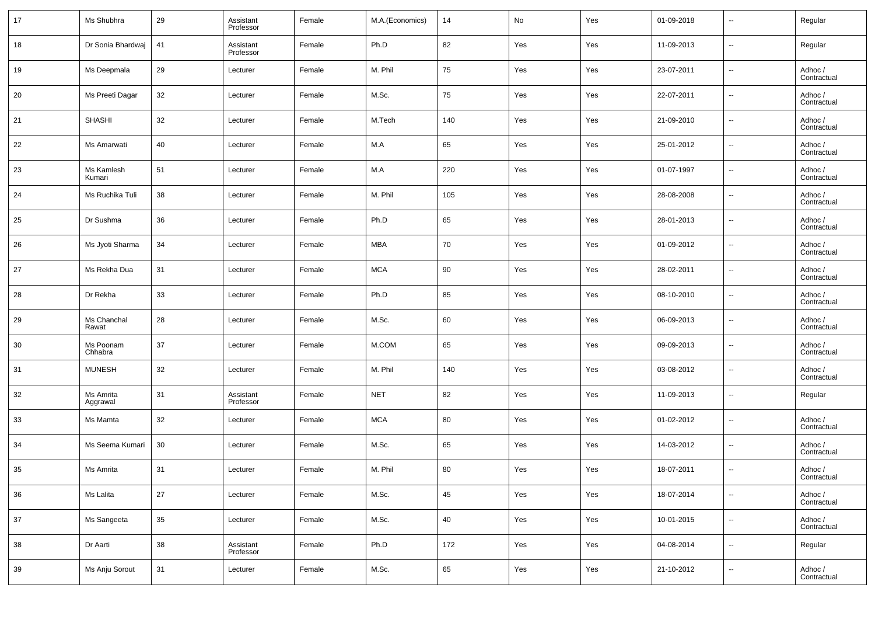| 17 | Ms Shubhra            | 29 | Assistant<br>Professor | Female | M.A.(Economics) | 14  | No  | Yes | 01-09-2018 | $\overline{\phantom{a}}$ | Regular                |
|----|-----------------------|----|------------------------|--------|-----------------|-----|-----|-----|------------|--------------------------|------------------------|
| 18 | Dr Sonia Bhardwaj     | 41 | Assistant<br>Professor | Female | Ph.D            | 82  | Yes | Yes | 11-09-2013 | $\overline{\phantom{a}}$ | Regular                |
| 19 | Ms Deepmala           | 29 | Lecturer               | Female | M. Phil         | 75  | Yes | Yes | 23-07-2011 | $\sim$                   | Adhoc /<br>Contractual |
| 20 | Ms Preeti Dagar       | 32 | Lecturer               | Female | M.Sc.           | 75  | Yes | Yes | 22-07-2011 | $\overline{\phantom{a}}$ | Adhoc /<br>Contractual |
| 21 | <b>SHASHI</b>         | 32 | Lecturer               | Female | M.Tech          | 140 | Yes | Yes | 21-09-2010 | $\overline{\phantom{a}}$ | Adhoc /<br>Contractual |
| 22 | Ms Amarwati           | 40 | Lecturer               | Female | M.A             | 65  | Yes | Yes | 25-01-2012 | $\overline{\phantom{a}}$ | Adhoc /<br>Contractual |
| 23 | Ms Kamlesh<br>Kumari  | 51 | Lecturer               | Female | M.A             | 220 | Yes | Yes | 01-07-1997 | $\overline{\phantom{a}}$ | Adhoc /<br>Contractual |
| 24 | Ms Ruchika Tuli       | 38 | Lecturer               | Female | M. Phil         | 105 | Yes | Yes | 28-08-2008 | $\sim$                   | Adhoc /<br>Contractual |
| 25 | Dr Sushma             | 36 | Lecturer               | Female | Ph.D            | 65  | Yes | Yes | 28-01-2013 | $\overline{\phantom{a}}$ | Adhoc /<br>Contractual |
| 26 | Ms Jyoti Sharma       | 34 | Lecturer               | Female | <b>MBA</b>      | 70  | Yes | Yes | 01-09-2012 | $\sim$                   | Adhoc /<br>Contractual |
| 27 | Ms Rekha Dua          | 31 | Lecturer               | Female | <b>MCA</b>      | 90  | Yes | Yes | 28-02-2011 | $\overline{\phantom{a}}$ | Adhoc /<br>Contractual |
| 28 | Dr Rekha              | 33 | Lecturer               | Female | Ph.D            | 85  | Yes | Yes | 08-10-2010 | $\overline{\phantom{a}}$ | Adhoc /<br>Contractual |
| 29 | Ms Chanchal<br>Rawat  | 28 | Lecturer               | Female | M.Sc.           | 60  | Yes | Yes | 06-09-2013 | $\overline{\phantom{a}}$ | Adhoc /<br>Contractual |
| 30 | Ms Poonam<br>Chhabra  | 37 | Lecturer               | Female | M.COM           | 65  | Yes | Yes | 09-09-2013 | $\overline{\phantom{a}}$ | Adhoc /<br>Contractual |
| 31 | <b>MUNESH</b>         | 32 | Lecturer               | Female | M. Phil         | 140 | Yes | Yes | 03-08-2012 | $\sim$                   | Adhoc /<br>Contractual |
| 32 | Ms Amrita<br>Aggrawal | 31 | Assistant<br>Professor | Female | <b>NET</b>      | 82  | Yes | Yes | 11-09-2013 | $\overline{\phantom{a}}$ | Regular                |
| 33 | Ms Mamta              | 32 | Lecturer               | Female | <b>MCA</b>      | 80  | Yes | Yes | 01-02-2012 | $\sim$                   | Adhoc /<br>Contractual |
| 34 | Ms Seema Kumari       | 30 | Lecturer               | Female | M.Sc.           | 65  | Yes | Yes | 14-03-2012 | $\overline{\phantom{a}}$ | Adhoc /<br>Contractual |
| 35 | Ms Amrita             | 31 | Lecturer               | Female | M. Phil         | 80  | Yes | Yes | 18-07-2011 | $\overline{\phantom{a}}$ | Adhoc /<br>Contractual |
| 36 | Ms Lalita             | 27 | Lecturer               | Female | M.Sc.           | 45  | Yes | Yes | 18-07-2014 | $\overline{\phantom{a}}$ | Adhoc /<br>Contractual |
| 37 | Ms Sangeeta           | 35 | Lecturer               | Female | M.Sc.           | 40  | Yes | Yes | 10-01-2015 | $\overline{\phantom{a}}$ | Adhoc /<br>Contractual |
| 38 | Dr Aarti              | 38 | Assistant<br>Professor | Female | Ph.D            | 172 | Yes | Yes | 04-08-2014 | $\sim$                   | Regular                |
| 39 | Ms Anju Sorout        | 31 | Lecturer               | Female | M.Sc.           | 65  | Yes | Yes | 21-10-2012 | $\overline{\phantom{a}}$ | Adhoc /<br>Contractual |